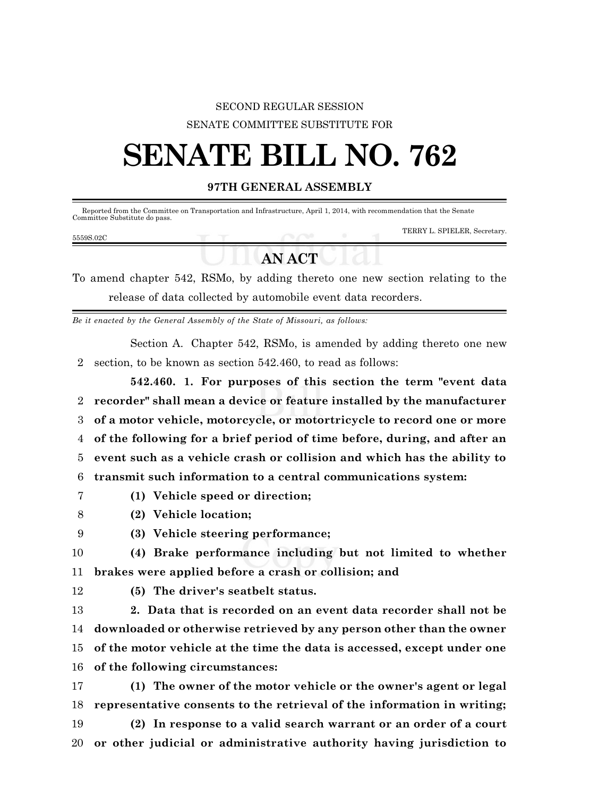### SECOND REGULAR SESSION SENATE COMMITTEE SUBSTITUTE FOR

# **SENATE BILL NO. 762**

#### **97TH GENERAL ASSEMBLY**

 Reported from the Committee on Transportation and Infrastructure, April 1, 2014, with recommendation that the Senate Committee Substitute do pass.

#### 5559S.02C

TERRY L. SPIELER, Secretary.

## **AN ACT**

To amend chapter 542, RSMo, by adding thereto one new section relating to the release of data collected by automobile event data recorders.

*Be it enacted by the General Assembly of the State of Missouri, as follows:*

Section A. Chapter 542, RSMo, is amended by adding thereto one new 2 section, to be known as section 542.460, to read as follows:

**542.460. 1. For purposes of this section the term "event data recorder" shall mean a device or feature installed by the manufacturer of a motor vehicle, motorcycle, or motortricycle to record one or more of the following for a brief period of time before, during, and after an event such as a vehicle crash or collision and which has the ability to transmit such information to a central communications system:**

- 7 **(1) Vehicle speed or direction;**
- 8 **(2) Vehicle location;**
- 9 **(3) Vehicle steering performance;**
- 10 **(4) Brake performance including but not limited to whether** 11 **brakes were applied before a crash or collision; and**
- 
- 12 **(5) The driver's seatbelt status.**

 **2. Data that is recorded on an event data recorder shall not be downloaded or otherwise retrieved by any person other than the owner of the motor vehicle at the time the data is accessed, except under one of the following circumstances:**

17 **(1) The owner of the motor vehicle or the owner's agent or legal** 18 **representative consents to the retrieval of the information in writing;**

19 **(2) In response to a valid search warrant or an order of a court** 20 **or other judicial or administrative authority having jurisdiction to**